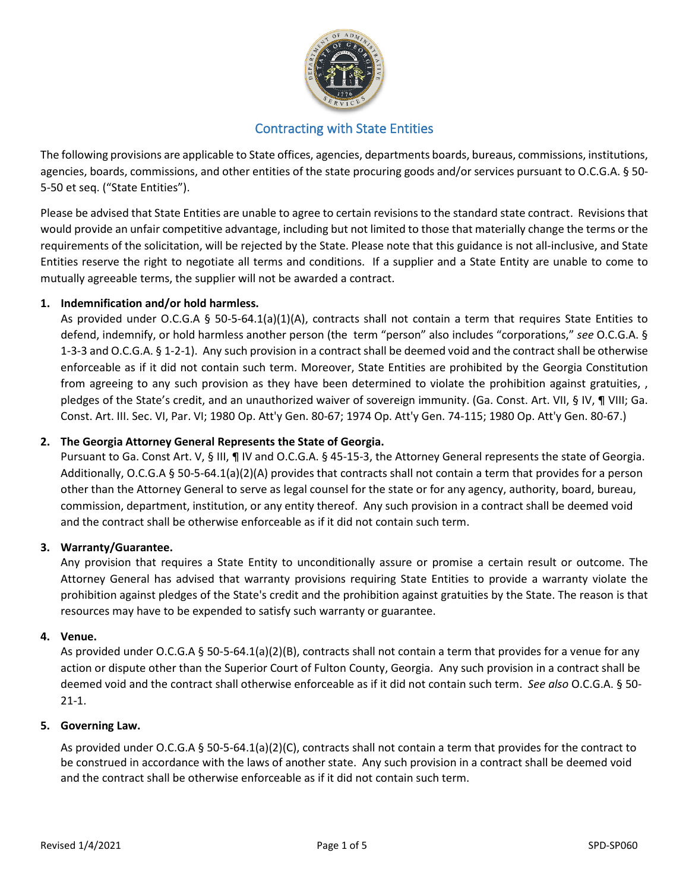

# Contracting with State Entities

The following provisions are applicable to State offices, agencies, departments boards, bureaus, commissions, institutions, agencies, boards, commissions, and other entities of the state procuring goods and/or services pursuant to O.C.G.A. § 50- 5-50 et seq. ("State Entities").

Please be advised that State Entities are unable to agree to certain revisions to the standard state contract. Revisions that would provide an unfair competitive advantage, including but not limited to those that materially change the terms or the requirements of the solicitation, will be rejected by the State. Please note that this guidance is not all-inclusive, and State Entities reserve the right to negotiate all terms and conditions. If a supplier and a State Entity are unable to come to mutually agreeable terms, the supplier will not be awarded a contract.

## **1. Indemnification and/or hold harmless.**

As provided under O.C.G.A § 50-5-64.1(a)(1)(A), contracts shall not contain a term that requires State Entities to defend, indemnify, or hold harmless another person (the term "person" also includes "corporations," *see* O.C.G.A. § 1-3-3 and O.C.G.A. § 1-2-1). Any such provision in a contract shall be deemed void and the contract shall be otherwise enforceable as if it did not contain such term. Moreover, State Entities are prohibited by the Georgia Constitution from agreeing to any such provision as they have been determined to violate the prohibition against gratuities,, pledges of the State's credit, and an unauthorized waiver of sovereign immunity. (Ga. Const. Art. VII, § IV, ¶ VIII; Ga. Const. Art. III. Sec. VI, Par. VI; 1980 Op. Att'y Gen. 80-67; 1974 Op. Att'y Gen. 74-115; 1980 Op. Att'y Gen. 80-67.)

## **2. The Georgia Attorney General Represents the State of Georgia.**

Pursuant to Ga. Const Art. V, § III, ¶ IV and O.C.G.A. § 45-15-3, the Attorney General represents the state of Georgia. Additionally, O.C.G.A § 50-5-64.1(a)(2)(A) provides that contracts shall not contain a term that provides for a person other than the Attorney General to serve as legal counsel for the state or for any agency, authority, board, bureau, commission, department, institution, or any entity thereof. Any such provision in a contract shall be deemed void and the contract shall be otherwise enforceable as if it did not contain such term.

## **3. Warranty/Guarantee.**

Any provision that requires a State Entity to unconditionally assure or promise a certain result or outcome. The Attorney General has advised that warranty provisions requiring State Entities to provide a warranty violate the prohibition against pledges of the State's credit and the prohibition against gratuities by the State. The reason is that resources may have to be expended to satisfy such warranty or guarantee.

## **4. Venue.**

As provided under O.C.G.A § 50-5-64.1(a)(2)(B), contracts shall not contain a term that provides for a venue for any action or dispute other than the Superior Court of Fulton County, Georgia. Any such provision in a contract shall be deemed void and the contract shall otherwise enforceable as if it did not contain such term. *See also* O.C.G.A. § 50- 21-1.

## **5. Governing Law.**

As provided under O.C.G.A § 50-5-64.1(a)(2)(C), contracts shall not contain a term that provides for the contract to be construed in accordance with the laws of another state. Any such provision in a contract shall be deemed void and the contract shall be otherwise enforceable as if it did not contain such term.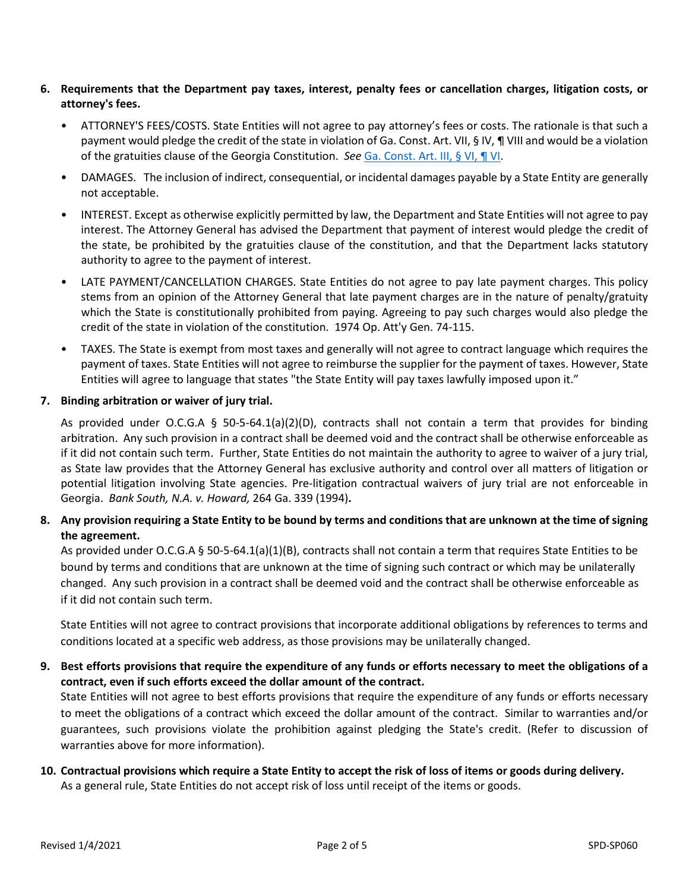- **6. Requirements that the Department pay taxes, interest, penalty fees or cancellation charges, litigation costs, or attorney's fees.**
	- ATTORNEY'S FEES/COSTS. State Entities will not agree to pay attorney's fees or costs. The rationale is that such a payment would pledge the credit of the state in violation of Ga. Const. Art. VII, § IV, ¶ VIII and would be a violation of the gratuities clause of the Georgia Constitution. *See* Ga. [Const.](https://advance.lexis.com/api/document/collection/statutes-legislation/id/5YYC-7H71-FJDY-X19D-00008-00?cite=Ga.%20Const.%20Art.%20III%2C%20%C2%A7%20VI%2C%20Para.%20VI&context=1000516) Art. III, § VI, ¶ VI.
	- DAMAGES. The inclusion of indirect, consequential, or incidental damages payable by a State Entity are generally not acceptable.
	- INTEREST. Except as otherwise explicitly permitted by law, the Department and State Entities will not agree to pay interest. The Attorney General has advised the Department that payment of interest would pledge the credit of the state, be prohibited by the gratuities clause of the constitution, and that the Department lacks statutory authority to agree to the payment of interest.
	- LATE PAYMENT/CANCELLATION CHARGES. State Entities do not agree to pay late payment charges. This policy stems from an opinion of the Attorney General that late payment charges are in the nature of penalty/gratuity which the State is constitutionally prohibited from paying. Agreeing to pay such charges would also pledge the credit of the state in violation of the constitution. 1974 Op. Att'y Gen. 74-115.
	- TAXES. The State is exempt from most taxes and generally will not agree to contract language which requires the payment of taxes. State Entities will not agree to reimburse the supplier for the payment of taxes. However, State Entities will agree to language that states "the State Entity will pay taxes lawfully imposed upon it."

## **7. Binding arbitration or waiver of jury trial.**

As provided under O.C.G.A § 50-5-64.1(a)(2)(D), contracts shall not contain a term that provides for binding arbitration. Any such provision in a contract shall be deemed void and the contract shall be otherwise enforceable as if it did not contain such term.Further, State Entities do not maintain the authority to agree to waiver of a jury trial, as State law provides that the Attorney General has exclusive authority and control over all matters of litigation or potential litigation involving State agencies. Pre-litigation contractual waivers of jury trial are not enforceable in Georgia. *Bank South, N.A. v. Howard,* 264 Ga. 339 (1994)**.**

## 8. Any provision requiring a State Entity to be bound by terms and conditions that are unknown at the time of signing **the agreement.**

As provided under O.C.G.A § 50-5-64.1(a)(1)(B), contracts shall not contain a term that requires State Entities to be bound by terms and conditions that are unknown at the time of signing such contract or which may be unilaterally changed. Any such provision in a contract shall be deemed void and the contract shall be otherwise enforceable as if it did not contain such term.

State Entities will not agree to contract provisions that incorporate additional obligations by references to terms and conditions located at a specific web address, as those provisions may be unilaterally changed.

## 9. Best efforts provisions that require the expenditure of any funds or efforts necessary to meet the obligations of a **contract, even if such efforts exceed the dollar amount of the contract.**

State Entities will not agree to best efforts provisions that require the expenditure of any funds or efforts necessary to meet the obligations of a contract which exceed the dollar amount of the contract. Similar to warranties and/or guarantees, such provisions violate the prohibition against pledging the State's credit. (Refer to discussion of warranties above for more information).

## **10. Contractual provisions which require a State Entity to accept the risk of loss of items or goods during delivery.** As a general rule, State Entities do not accept risk of loss until receipt of the items or goods.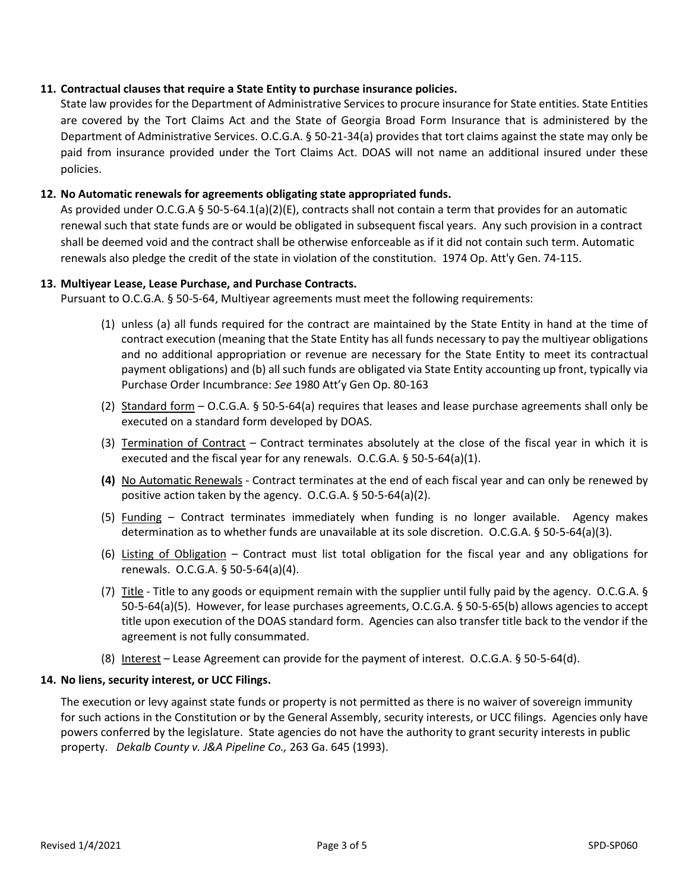## **11. Contractual clauses that require a State Entity to purchase insurance policies.**

State law provides for the Department of Administrative Services to procure insurance for State entities. State Entities are covered by the Tort Claims Act and the State of Georgia Broad Form Insurance that is administered by the Department of Administrative Services. O.C.G.A. § 50-21-34(a) provides that tort claims against the state may only be paid from insurance provided under the Tort Claims Act. DOAS will not name an additional insured under these policies.

## **12. No Automatic renewals for agreements obligating state appropriated funds.**

As provided under O.C.G.A § 50-5-64.1(a)(2)(E), contracts shall not contain a term that provides for an automatic renewal such that state funds are or would be obligated in subsequent fiscal years. Any such provision in a contract shall be deemed void and the contract shall be otherwise enforceable as if it did not contain such term. Automatic renewals also pledge the credit of the state in violation of the constitution. 1974 Op. Att'y Gen. 74-115.

#### **13. Multiyear Lease, Lease Purchase, and Purchase Contracts.**

Pursuant to O.C.G.A. § 50-5-64, Multiyear agreements must meet the following requirements:

- (1) unless (a) all funds required for the contract are maintained by the State Entity in hand at the time of contract execution (meaning that the State Entity has all funds necessary to pay the multiyear obligations and no additional appropriation or revenue are necessary for the State Entity to meet its contractual payment obligations) and (b) all such funds are obligated via State Entity accounting up front, typically via Purchase Order Incumbrance: *See* 1980 Att'y Gen Op. 80-163
- (2) Standard form O.C.G.A. § 50-5-64(a) requires that leases and lease purchase agreements shall only be executed on a standard form developed by DOAS.
- (3) Termination of Contract Contract terminates absolutely at the close of the fiscal year in which it is executed and the fiscal year for any renewals. O.C.G.A. § 50-5-64(a)(1).
- **(4)** No Automatic Renewals Contract terminates at the end of each fiscal year and can only be renewed by positive action taken by the agency. O.C.G.A. § 50-5-64(a)(2).
- (5) Funding Contract terminates immediately when funding is no longer available. Agency makes determination as to whether funds are unavailable at its sole discretion. O.C.G.A. § 50-5-64(a)(3).
- (6) Listing of Obligation Contract must list total obligation for the fiscal year and any obligations for renewals. O.C.G.A. § 50-5-64(a)(4).
- (7) Title Title to any goods or equipment remain with the supplier until fully paid by the agency. O.C.G.A. § 50-5-64(a)(5). However, for lease purchases agreements, O.C.G.A. § 50-5-65(b) allows agencies to accept title upon execution of the DOAS standard form. Agencies can also transfer title back to the vendor if the agreement is not fully consummated.
- (8) Interest Lease Agreement can provide for the payment of interest. O.C.G.A. § 50-5-64(d).

#### **14. No liens, security interest, or UCC Filings.**

The execution or levy against state funds or property is not permitted as there is no waiver of sovereign immunity for such actions in the Constitution or by the General Assembly, security interests, or UCC filings. Agencies only have powers conferred by the legislature. State agencies do not have the authority to grant security interests in public property.*Dekalb County v. J&A Pipeline Co.,* 263 Ga. 645 (1993).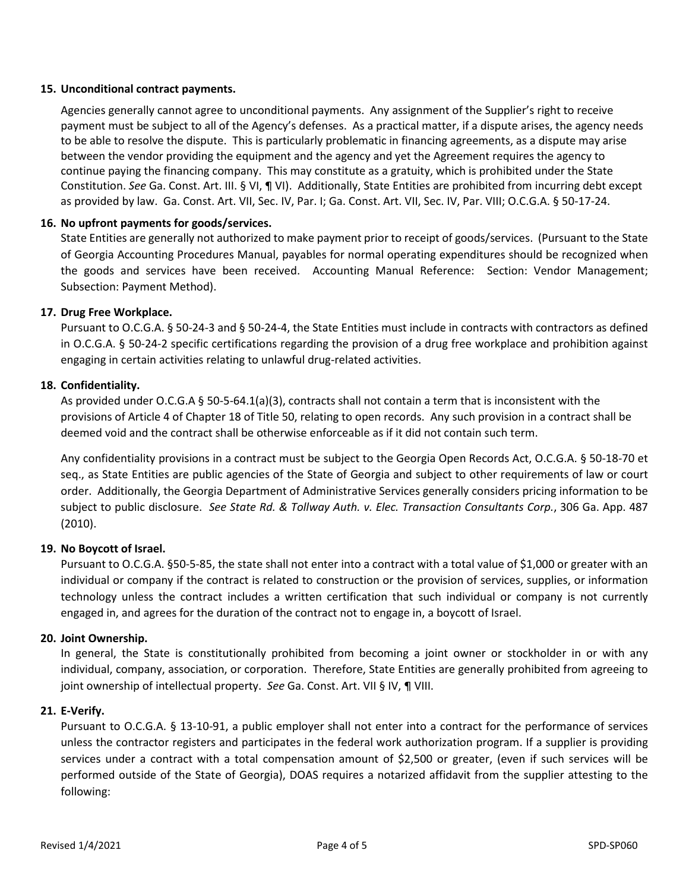## **15. Unconditional contract payments.**

Agencies generally cannot agree to unconditional payments. Any assignment of the Supplier's right to receive payment must be subject to all of the Agency's defenses. As a practical matter, if a dispute arises, the agency needs to be able to resolve the dispute. This is particularly problematic in financing agreements, as a dispute may arise between the vendor providing the equipment and the agency and yet the Agreement requires the agency to continue paying the financing company. This may constitute as a gratuity, which is prohibited under the State Constitution. *See* Ga. Const. Art. III. § VI, ¶ VI). Additionally, State Entities are prohibited from incurring debt except as provided by law. Ga. Const. Art. VII, Sec. IV, Par. I; Ga. Const. Art. VII, Sec. IV, Par. VIII; O.C.G.A. § 50-17-24.

## **16. No upfront payments for goods/services.**

State Entities are generally not authorized to make payment prior to receipt of goods/services. (Pursuant to the State of Georgia Accounting Procedures Manual, payables for normal operating expenditures should be recognized when the goods and services have been received. Accounting Manual Reference: Section: Vendor Management; Subsection: Payment Method).

## **17. Drug Free Workplace.**

Pursuant to O.C.G.A. § 50-24-3 and § 50-24-4, the State Entities must include in contracts with contractors as defined in O.C.G.A. § 50-24-2 specific certifications regarding the provision of a drug free workplace and prohibition against engaging in certain activities relating to unlawful drug-related activities.

## **18. Confidentiality.**

As provided under O.C.G.A § 50-5-64.1(a)(3), contracts shall not contain a term that is inconsistent with the provisions of Article 4 of Chapter 18 of Title 50, relating to open records. Any such provision in a contract shall be deemed void and the contract shall be otherwise enforceable as if it did not contain such term.

Any confidentiality provisions in a contract must be subject to the Georgia Open Records Act, O.C.G.A. § 50-18-70 et seq., as State Entities are public agencies of the State of Georgia and subject to other requirements of law or court order. Additionally, the Georgia Department of Administrative Services generally considers pricing information to be subject to public disclosure. *See State Rd. & Tollway Auth. v. Elec. Transaction Consultants Corp.*, 306 Ga. App. 487 (2010).

## **19. No Boycott of Israel.**

Pursuant to O.C.G.A. §50-5-85, the state shall not enter into a contract with a total value of \$1,000 or greater with an individual or company if the contract is related to construction or the provision of services, supplies, or information technology unless the contract includes a written certification that such individual or company is not currently engaged in, and agrees for the duration of the contract not to engage in, a boycott of Israel.

## **20. Joint Ownership.**

In general, the State is constitutionally prohibited from becoming a joint owner or stockholder in or with any individual, company, association, or corporation. Therefore, State Entities are generally prohibited from agreeing to joint ownership of intellectual property. *See* Ga. Const. Art. VII § IV, ¶ VIII.

## **21. E-Verify.**

Pursuant to O.C.G.A. § 13-10-91, a public employer shall not enter into a contract for the performance of services unless the contractor registers and participates in the federal work authorization program. If a supplier is providing services under a contract with a total compensation amount of \$2,500 or greater, (even if such services will be performed outside of the State of Georgia), DOAS requires a notarized affidavit from the supplier attesting to the following: